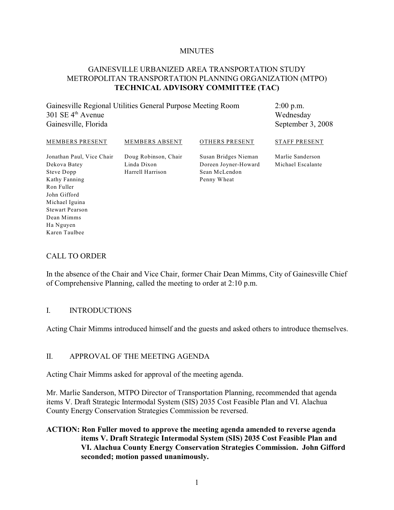#### **MINUTES**

# GAINESVILLE URBANIZED AREA TRANSPORTATION STUDY METROPOLITAN TRANSPORTATION PLANNING ORGANIZATION (MTPO) **TECHNICAL ADVISORY COMMITTEE (TAC)**

Gainesville Regional Utilities General Purpose Meeting Room  $301$  SE  $4<sup>th</sup>$  Avenue Gainesville, Florida

2:00 p.m. Wednesday September 3, 2008

#### MEMBERS PRESENT Jonathan Paul, Vice Chair Dekova Batey Steve Dopp Kathy Fanning MEMBERS ABSENT Doug Robinson, Chair Linda Dixon Harrell Harrison OTHERS PRESENT Susan Bridges Nieman Doreen Joyner-Howard Sean McLendon Penny Wheat STAFF PRESENT Marlie Sanderson Michael Escalante

### CALL TO ORDER

Ron Fuller John Gifford Michael Iguina Stewart Pearson Dean Mimms Ha Nguyen Karen Taulbee

In the absence of the Chair and Vice Chair, former Chair Dean Mimms, City of Gainesville Chief of Comprehensive Planning, called the meeting to order at 2:10 p.m.

#### I. INTRODUCTIONS

Acting Chair Mimms introduced himself and the guests and asked others to introduce themselves.

#### II. APPROVAL OF THE MEETING AGENDA

Acting Chair Mimms asked for approval of the meeting agenda.

Mr. Marlie Sanderson, MTPO Director of Transportation Planning, recommended that agenda items V. Draft Strategic Intermodal System (SIS) 2035 Cost Feasible Plan and VI. Alachua County Energy Conservation Strategies Commission be reversed.

# **ACTION: Ron Fuller moved to approve the meeting agenda amended to reverse agenda items V. Draft Strategic Intermodal System (SIS) 2035 Cost Feasible Plan and VI. Alachua County Energy Conservation Strategies Commission. John Gifford seconded; motion passed unanimously.**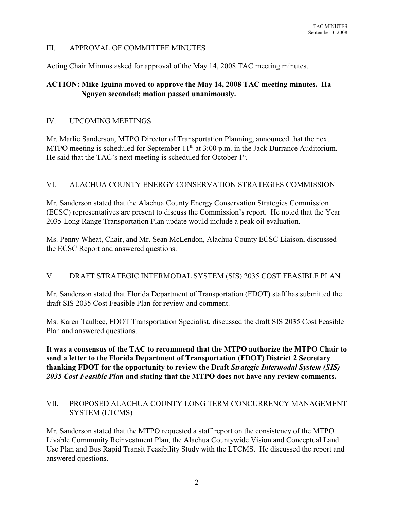# III. APPROVAL OF COMMITTEE MINUTES

Acting Chair Mimms asked for approval of the May 14, 2008 TAC meeting minutes.

# **ACTION: Mike Iguina moved to approve the May 14, 2008 TAC meeting minutes. Ha Nguyen seconded; motion passed unanimously.**

# IV. UPCOMING MEETINGS

Mr. Marlie Sanderson, MTPO Director of Transportation Planning, announced that the next MTPO meeting is scheduled for September  $11<sup>th</sup>$  at 3:00 p.m. in the Jack Durrance Auditorium. He said that the TAC's next meeting is scheduled for October  $1<sup>st</sup>$ .

# VI. ALACHUA COUNTY ENERGY CONSERVATION STRATEGIES COMMISSION

Mr. Sanderson stated that the Alachua County Energy Conservation Strategies Commission (ECSC) representatives are present to discuss the Commission's report. He noted that the Year 2035 Long Range Transportation Plan update would include a peak oil evaluation.

Ms. Penny Wheat, Chair, and Mr. Sean McLendon, Alachua County ECSC Liaison, discussed the ECSC Report and answered questions.

## V. DRAFT STRATEGIC INTERMODAL SYSTEM (SIS) 2035 COST FEASIBLE PLAN

Mr. Sanderson stated that Florida Department of Transportation (FDOT) staff has submitted the draft SIS 2035 Cost Feasible Plan for review and comment.

Ms. Karen Taulbee, FDOT Transportation Specialist, discussed the draft SIS 2035 Cost Feasible Plan and answered questions.

**It was a consensus of the TAC to recommend that the MTPO authorize the MTPO Chair to send a letter to the Florida Department of Transportation (FDOT) District 2 Secretary thanking FDOT for the opportunity to review the Draft** *Strategic Intermodal System (SIS) 2035 Cost Feasible Plan* **and stating that the MTPO does not have any review comments.** 

# VII. PROPOSED ALACHUA COUNTY LONG TERM CONCURRENCY MANAGEMENT SYSTEM (LTCMS)

Mr. Sanderson stated that the MTPO requested a staff report on the consistency of the MTPO Livable Community Reinvestment Plan, the Alachua Countywide Vision and Conceptual Land Use Plan and Bus Rapid Transit Feasibility Study with the LTCMS. He discussed the report and answered questions.